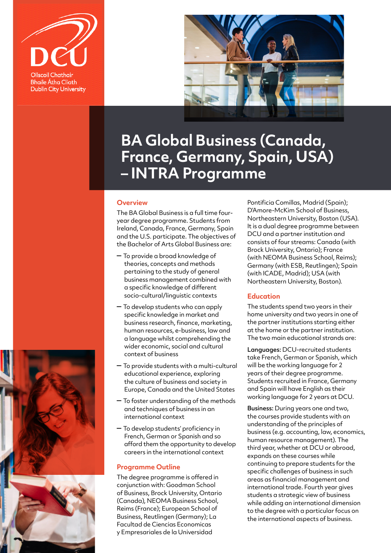



# **BA Global Business (Canada, France, Germany, Spain, USA) – INTRA Programme**

#### **Overview**

The BA Global Business is a full time fouryear degree programme. Students from Ireland, Canada, France, Germany, Spain and the U.S. participate. The objectives of the Bachelor of Arts Global Business are:

- To provide a broad knowledge of theories, concepts and methods pertaining to the study of general business management combined with a specific knowledge of different socio-cultural/linguistic contexts
- To develop students who can apply specific knowledge in market and business research, finance, marketing, human resources, e-business, law and a language whilst comprehending the wider economic, social and cultural context of business
- To provide students with a multi-cultural educational experience, exploring the culture of business and society in Europe, Canada and the United States
- To foster understanding of the methods and techniques of business in an international context
- To develop students' proficiency in French, German or Spanish and so afford them the opportunity to develop careers in the international context

## **Programme Outline**

The degree programme is offered in conjunction with: Goodman School of Business, Brock University, Ontario (Canada), NEOMA Business School, Reims (France); European School of Business, Reutlingen (Germany); La Facultad de Ciencias Economicas y Empresariales de la Universidad

Pontificia Comillas, Madrid (Spain); D'Amore-McKim School of Business, Northeastern University, Boston (USA). It is a dual degree programme between DCU and a partner institution and consists of four streams: Canada (with Brock University, Ontario); France (with NEOMA Business School, Reims); Germany (with ESB, Reutlingen); Spain (with ICADE, Madrid); USA (with Northeastern University, Boston).

#### **Education**

The students spend two years in their home university and two years in one of the partner institutions starting either at the home or the partner institution. The two main educational strands are:

Languages: DCU-recruited students take French, German or Spanish, which will be the working language for 2 years of their degree programme. Students recruited in France, Germany and Spain will have English as their working language for 2 years at DCU.

Business: During years one and two, the courses provide students with an understanding of the principles of business (e.g. accounting, law, economics, human resource management). The third year, whether at DCU or abroad, expands on these courses while continuing to prepare students for the specific challenges of business in such areas as financial management and international trade. Fourth year gives students a strategic view of business while adding an international dimension to the degree with a particular focus on the international aspects of business.